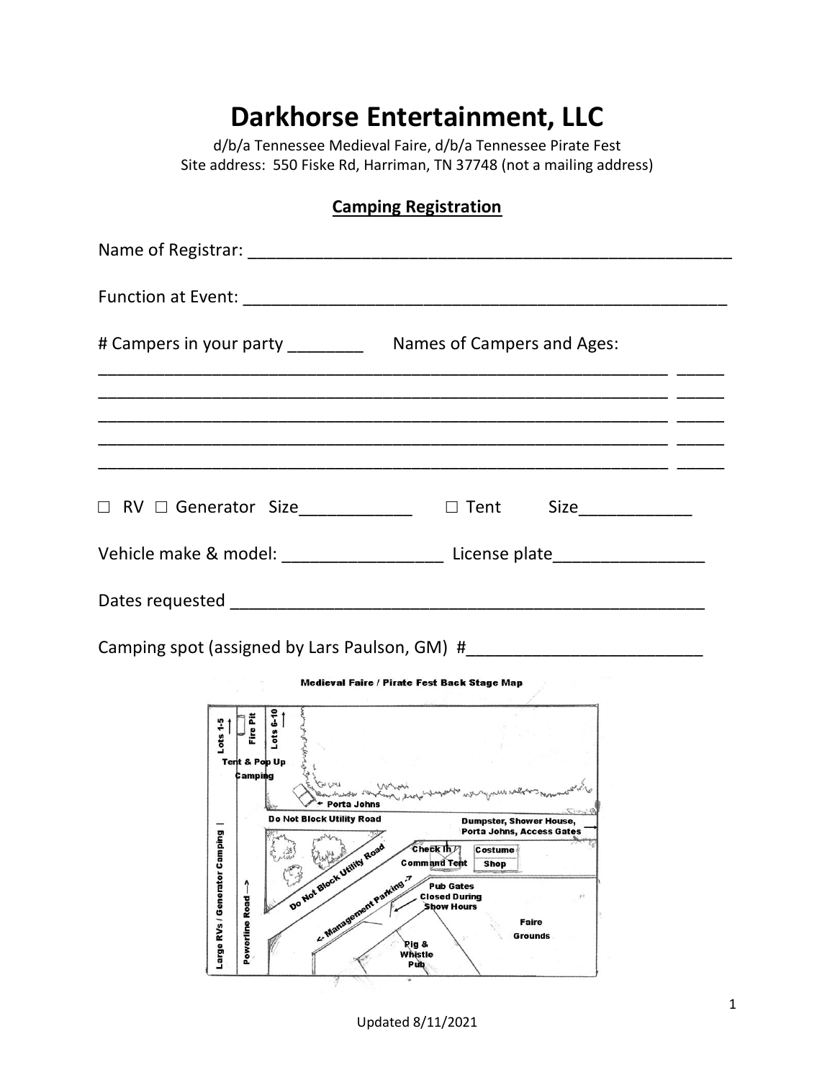## **Darkhorse Entertainment, LLC**

d/b/a Tennessee Medieval Faire, d/b/a Tennessee Pirate Fest Site address: 550 Fiske Rd, Harriman, TN 37748 (not a mailing address)

## **Camping Registration**

| □ RV □ Generator Size_____________ □ Tent Size____________                       |  |
|----------------------------------------------------------------------------------|--|
| Vehicle make & model: ____________________________ License plate________________ |  |
|                                                                                  |  |

Camping spot (assigned by Lars Paulson, GM) #



Updated 8/11/2021